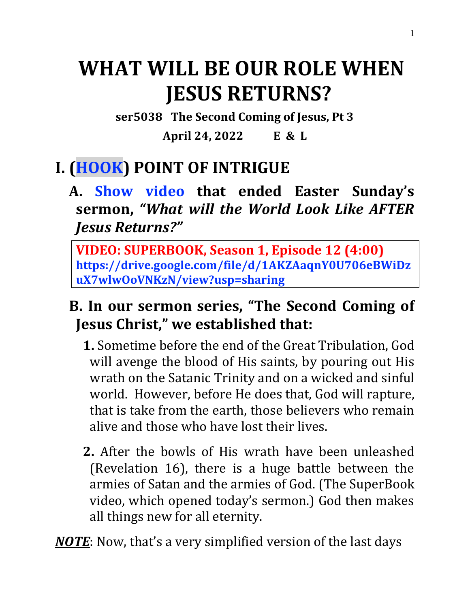# **WHAT WILL BE OUR ROLE WHEN JESUS RETURNS?**

**ser5038 The Second Coming of Jesus, Pt 3**

**April 24, 2022 E & L**

# **I. (HOOK) POINT OF INTRIGUE**

**A. Show video that ended Easter Sunday's sermon,** *"What will the World Look Like AFTER Jesus Returns?"*

**VIDEO: SUPERBOOK, Season 1, Episode 12 (4:00) https://drive.google.com/file/d/1AKZAaqnY0U706eBWiDz uX7wlwOoVNKzN/view?usp=sharing**

### **B. In our sermon series, "The Second Coming of Jesus Christ," we established that:**

- **1.** Sometime before the end of the Great Tribulation, God will avenge the blood of His saints, by pouring out His wrath on the Satanic Trinity and on a wicked and sinful world. However, before He does that, God will rapture, that is take from the earth, those believers who remain alive and those who have lost their lives.
- **2.** After the bowls of His wrath have been unleashed (Revelation 16), there is a huge battle between the armies of Satan and the armies of God. (The SuperBook video, which opened today's sermon.) God then makes all things new for all eternity.

*NOTE*: Now, that's a very simplified version of the last days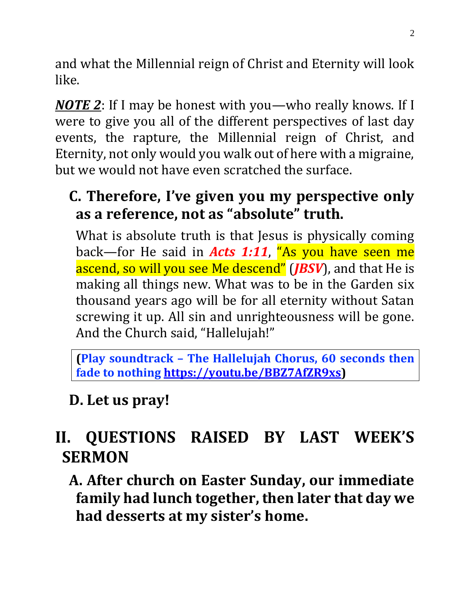and what the Millennial reign of Christ and Eternity will look like.

*NOTE 2*: If I may be honest with you—who really knows. If I were to give you all of the different perspectives of last day events, the rapture, the Millennial reign of Christ, and Eternity, not only would you walk out of here with a migraine, but we would not have even scratched the surface.

### **C. Therefore, I've given you my perspective only as a reference, not as "absolute" truth.**

What is absolute truth is that Jesus is physically coming back—for He said in *Acts 1:11*, "As you have seen me ascend, so will you see Me descend" (*JBSV*), and that He is making all things new. What was to be in the Garden six thousand years ago will be for all eternity without Satan screwing it up. All sin and unrighteousness will be gone. And the Church said, "Hallelujah!"

**(Play soundtrack – The Hallelujah Chorus, 60 seconds then fade to nothing [https://youtu.be/BBZ7AfZR9xs\)](https://youtu.be/BBZ7AfZR9xs)**

### **D. Let us pray!**

# **II. QUESTIONS RAISED BY LAST WEEK'S SERMON**

**A. After church on Easter Sunday, our immediate family had lunch together, then later that day we had desserts at my sister's home.**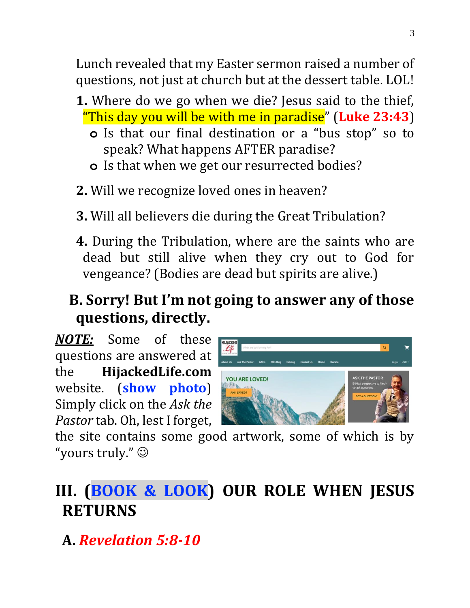Lunch revealed that my Easter sermon raised a number of questions, not just at church but at the dessert table. LOL!

- **1.** Where do we go when we die? Jesus said to the thief, "This day you will be with me in paradise" (**Luke 23:43**)
	- **o** Is that our final destination or a "bus stop" so to speak? What happens AFTER paradise?
	- **o** Is that when we get our resurrected bodies?
- **2.** Will we recognize loved ones in heaven?
- **3.** Will all believers die during the Great Tribulation?
- **4.** During the Tribulation, where are the saints who are dead but still alive when they cry out to God for vengeance? (Bodies are dead but spirits are alive.)

### **B. Sorry! But I'm not going to answer any of those questions, directly.**

*NOTE:* Some of these questions are answered at the **HijackedLife.com** website. (**show photo**) Simply click on the *Ask the Pastor* tab. Oh, lest I forget,



the site contains some good artwork, some of which is by "yours truly." ☺

# **III. (BOOK & LOOK) OUR ROLE WHEN JESUS RETURNS**

**A.** *Revelation 5:8-10*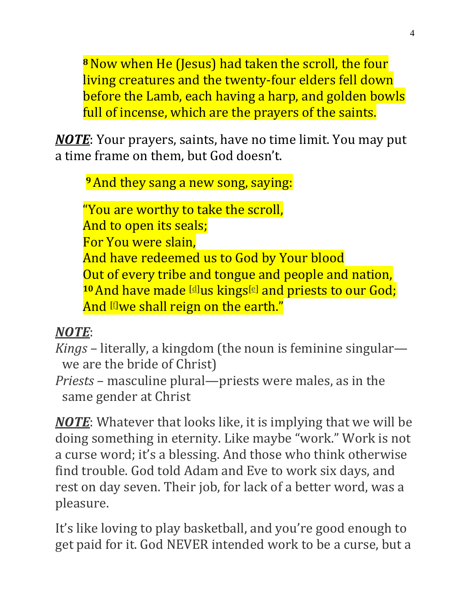**<sup>8</sup>**Now when He (Jesus) had taken the scroll, the four living creatures and the twenty-four elders fell down before the Lamb, each having a harp, and golden bowls full of incense, which are the prayers of the saints.

*NOTE*: Your prayers, saints, have no time limit. You may put a time frame on them, but God doesn't.

**<sup>9</sup>**And they sang a new song, saying:

"You are worthy to take the scroll, And to open its seals; For You were slain, And have redeemed us to God by Your blood Out of every tribe and tongue and people and nation, <sup>10</sup> And have made [\[d\]](https://www.biblegateway.com/passage/?search=Revelation+5&version=NKJV#fen-NKJV-30790d)us kings<sup>[\[e\]](https://www.biblegateway.com/passage/?search=Revelation+5&version=NKJV#fen-NKJV-30790e)</sup> and priests to our God; And [flwe shall reign on the earth."

#### *NOTE*:

*Kings* – literally, a kingdom (the noun is feminine singular we are the bride of Christ)

*Priests* – masculine plural—priests were males, as in the same gender at Christ

*NOTE*: Whatever that looks like, it is implying that we will be doing something in eternity. Like maybe "work." Work is not a curse word; it's a blessing. And those who think otherwise find trouble. God told Adam and Eve to work six days, and rest on day seven. Their job, for lack of a better word, was a pleasure.

It's like loving to play basketball, and you're good enough to get paid for it. God NEVER intended work to be a curse, but a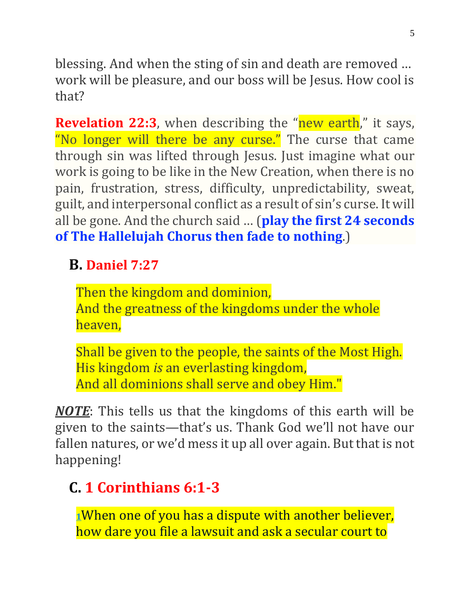blessing. And when the sting of sin and death are removed … work will be pleasure, and our boss will be Jesus. How cool is that?

**Revelation 22:3**, when describing the "new earth," it says, "No longer will there be any curse." The curse that came through sin was lifted through Jesus. Just imagine what our work is going to be like in the New Creation, when there is no pain, frustration, stress, difficulty, unpredictability, sweat, guilt, and interpersonal conflict as a result of sin's curse. It will all be gone. And the church said … (**play the first 24 seconds of The Hallelujah Chorus then fade to nothing**.)

### **B. [Daniel 7:27](https://www.bibletools.org/index.cfm/fuseaction/bible.show/sVerseID/21961/eVerseID/21961)**

Then the kingdom and dominion, And the greatness of the kingdoms under the whole heaven,

Shall be given to the people, the saints of the Most High. His kingdom *is* an everlasting kingdom, And all dominions shall serve and obey Him."

*NOTE*: This tells us that the kingdoms of this earth will be given to the saints—that's us. Thank God we'll not have our fallen natures, or we'd mess it up all over again. But that is not happening!

### **C. [1 Corinthians 6:1-3](https://www.bibletools.org/index.cfm/fuseaction/bible.show/sVerseID/28469/eVerseID/28471)**

**[1](http://biblehub.com/1_corinthians/6-1.htm)**When one of you has a dispute with another believer, how dare you file a lawsuit and ask a secular court to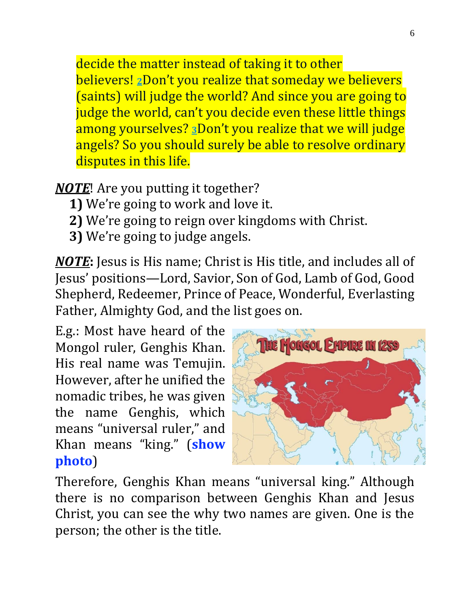decide the matter instead of taking it to other believers! **[2](http://biblehub.com/1_corinthians/6-2.htm)**Don't you realize that someday we believers (saints) will judge the world? And since you are going to judge the world, can't you decide even these little things among yourselves? **[3](http://biblehub.com/1_corinthians/6-3.htm)**Don't you realize that we will judge angels? So you should surely be able to resolve ordinary disputes in this life.

#### *NOTE*! Are you putting it together?

- **1)** We're going to work and love it.
- **2)** We're going to reign over kingdoms with Christ.
- **3)** We're going to judge angels.

*NOTE***:** Jesus is His name; Christ is His title, and includes all of Jesus' positions—Lord, Savior, Son of God, Lamb of God, Good Shepherd, Redeemer, Prince of Peace, Wonderful, Everlasting Father, Almighty God, and the list goes on.

E.g.: Most have heard of the Mongol ruler, Genghis Khan. His real name was Temujin. However, after he unified the nomadic tribes, he was given the name Genghis, which means "universal ruler," and Khan means "king." (**show photo**)



Therefore, Genghis Khan means "universal king." Although there is no comparison between Genghis Khan and Jesus Christ, you can see the why two names are given. One is the person; the other is the title.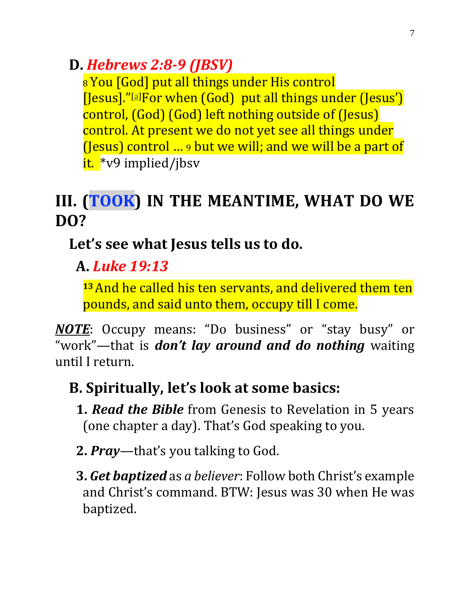### **D.** *[Hebrews 2:8-](https://www.bibletools.org/index.cfm/fuseaction/bible.show/sVerseID/29986/eVerseID/29986)9 (JBSV)*

8 You [God] put all things under His control [Jesus]."[\[a\]](https://www.biblegateway.com/passage/?search=Hebrews+2%3A8&version=NET#fen-NET-29970a)For when (God) put all things under (Jesus') control, (God) (God) left nothing outside of (Jesus) control. At present we do not yet see all things under (Jesus) control … <sup>9</sup> but we will; and we will be a part of it. \*v9 implied/jbsv

# **III. (TOOK) IN THE MEANTIME, WHAT DO WE DO?**

### **Let's see what Jesus tells us to do.**

### **A.** *Luke 19:13*

**<sup>13</sup>**And he called his ten servants, and delivered them ten pounds, and said unto them, occupy till I come.

*NOTE*: Occupy means: "Do business" or "stay busy" or "work"—that is *don't lay around and do nothing* waiting until I return.

### **B. Spiritually, let's look at some basics:**

- **1.** *Read the Bible* from Genesis to Revelation in 5 years (one chapter a day). That's God speaking to you.
- **2.** *Pray*—that's you talking to God.
- **3.** *Get baptized* as *a believer*: Follow both Christ's example and Christ's command. BTW: Jesus was 30 when He was baptized.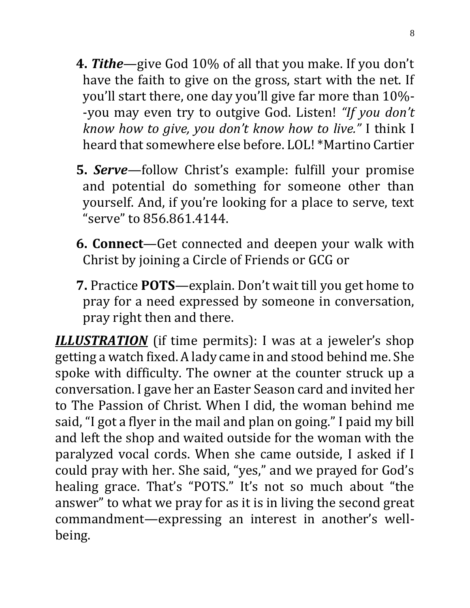- **4.** *Tithe*—give God 10% of all that you make. If you don't have the faith to give on the gross, start with the net. If you'll start there, one day you'll give far more than 10%- -you may even try to outgive God. Listen! *"If you don't know how to give, you don't know how to live."* I think I heard that somewhere else before. LOL! \*Martino Cartier
- **5.** *Serve*—follow Christ's example: fulfill your promise and potential do something for someone other than yourself. And, if you're looking for a place to serve, text "serve" to 856.861.4144.
- **6. Connect**—Get connected and deepen your walk with Christ by joining a Circle of Friends or GCG or
- **7.** Practice **POTS**—explain. Don't wait till you get home to pray for a need expressed by someone in conversation, pray right then and there.

*ILLUSTRATION* (if time permits): I was at a jeweler's shop getting a watch fixed. A lady came in and stood behind me. She spoke with difficulty. The owner at the counter struck up a conversation. I gave her an Easter Season card and invited her to The Passion of Christ. When I did, the woman behind me said, "I got a flyer in the mail and plan on going." I paid my bill and left the shop and waited outside for the woman with the paralyzed vocal cords. When she came outside, I asked if I could pray with her. She said, "yes," and we prayed for God's healing grace. That's "POTS." It's not so much about "the answer" to what we pray for as it is in living the second great commandment—expressing an interest in another's wellbeing.